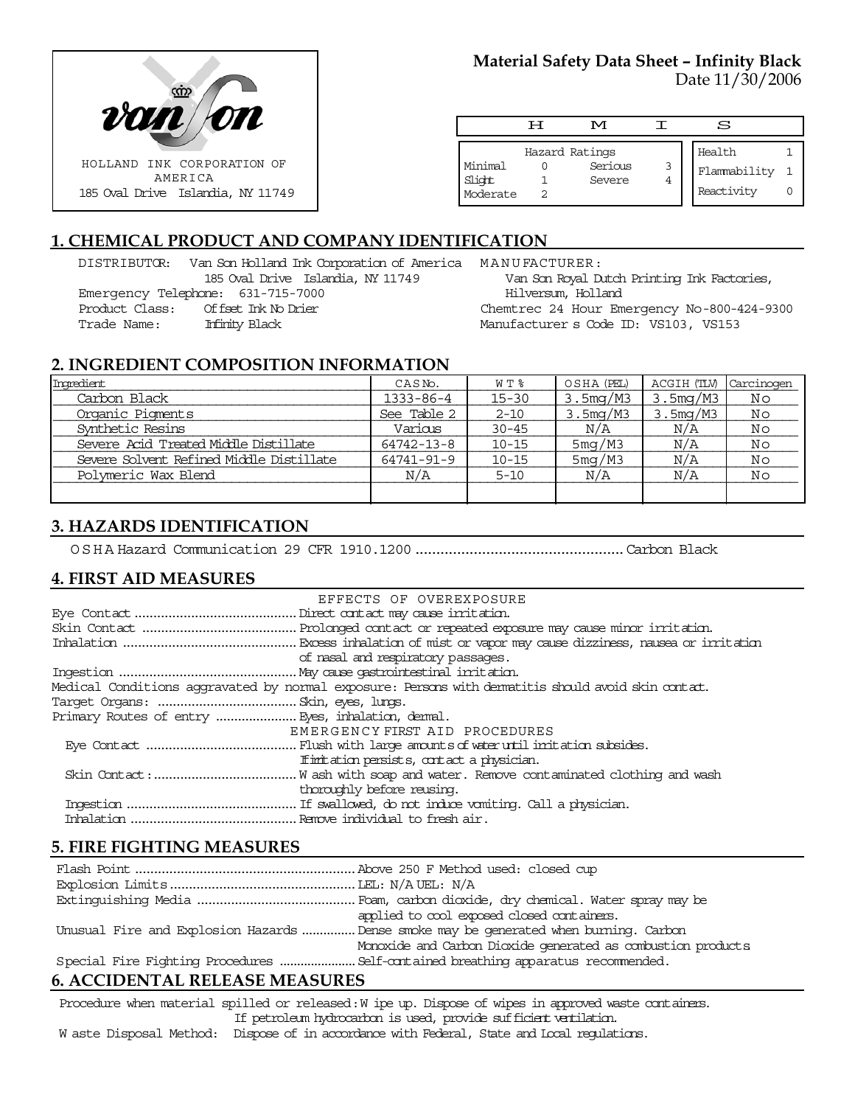

## **Material Safety Data Sheet – Infinity Black** Date 11/30/2006

|                               | டா | M                                   |        | S                                    |  |
|-------------------------------|----|-------------------------------------|--------|--------------------------------------|--|
| Minimal<br>Slight<br>Moderate |    | Hazard Ratings<br>Serious<br>Severe | 3<br>4 | Health<br>Flammability<br>Reactivity |  |

# **1. CHEMICAL PRODUCT AND COMPANY IDENTIFICATION**

DISTRIBUTOR: Van Son Holland Ink Corporation of America MANUFACTURER: 185 Oval Drive Islandia, NY 11749 Emergency Telephone: 631-715-7000 Product Class: Offset Ink No Drier Trade Name: Infinity Black

Van Son Royal Dutch Printing Ink Factories, Hilversum, Holland Chemtrec 24 Hour Emergency No-800-424-9300 Manufacturer s Code ID: VS103, VS153

#### **2. INGREDIENT COMPOSITION INFORMATION**

| Ingredient                               | CASN <sub>o</sub> . | WT %      | OSHA (PEL) | ACGIH (TLV) | Carcinogen |
|------------------------------------------|---------------------|-----------|------------|-------------|------------|
| Carbon Black                             | 1333-86-4           | $15 - 30$ | 3.5mg/M3   | 3.5mg/M3    | Νo         |
| Organic Pigments                         | See Table 2         | $2 - 10$  | 3.5mg/M3   | 3.5mg/M3    | Νo         |
| Synthetic Resins                         | Various             | $30 - 45$ | N/A        | N/A         | No         |
| Severe Acid Treated Middle Distillate    | 64742-13-8          | $10 - 15$ | 5mg/M3     | N/A         | No         |
| Severe Solvent Refined Middle Distillate | 64741-91-9          | $10 - 15$ | 5mg/M3     | N/A         | No         |
| Polymeric Wax Blend                      | N/A                 | $5 - 10$  | N/A        | N/A         | No         |
|                                          |                     |           |            |             |            |

# **3. HAZARDS IDENTIFICATION**

OSHA Hazard Communication 29 CFR 1910.1200..................................................Carbon Black

#### **4. FIRST AID MEASURES**

| EFFECTS OF OVEREXPOSURE                                                                            |
|----------------------------------------------------------------------------------------------------|
|                                                                                                    |
|                                                                                                    |
|                                                                                                    |
| of nasal and respiratory passages.                                                                 |
|                                                                                                    |
| Medical Conditions aggravated by normal exposure: Persons with dematitis should avoid skin contat. |
|                                                                                                    |
|                                                                                                    |
| EMERGENCY FIRST AID PROCEDURES                                                                     |
|                                                                                                    |
| If initiation persists, contact a physician.                                                       |
|                                                                                                    |
| thoroughly before reusing.                                                                         |
|                                                                                                    |
|                                                                                                    |

#### **5. FIRE FIGHTING MEASURES**

| applied to cool exposed closed containers.                                            |
|---------------------------------------------------------------------------------------|
| Unusual Fire and Explosion Hazards  Dense smoke may be generated when burning. Carbon |
| Monoxide and Carbon Dioxide generated as combustion products                          |
| Special Fire Fighting Procedures  Self-contained breathing apparatus recommended.     |

## **6. ACCIDENTAL RELEASE MEASURES**

Procedure when material spilled or released: W ipe up. Dispose of wipes in approved waste containers. If petroleum hydrocarbon is used, provide sufficient ventilation. W aste Disposal Method: Dispose of in accordance with Federal, State and Local regulations.